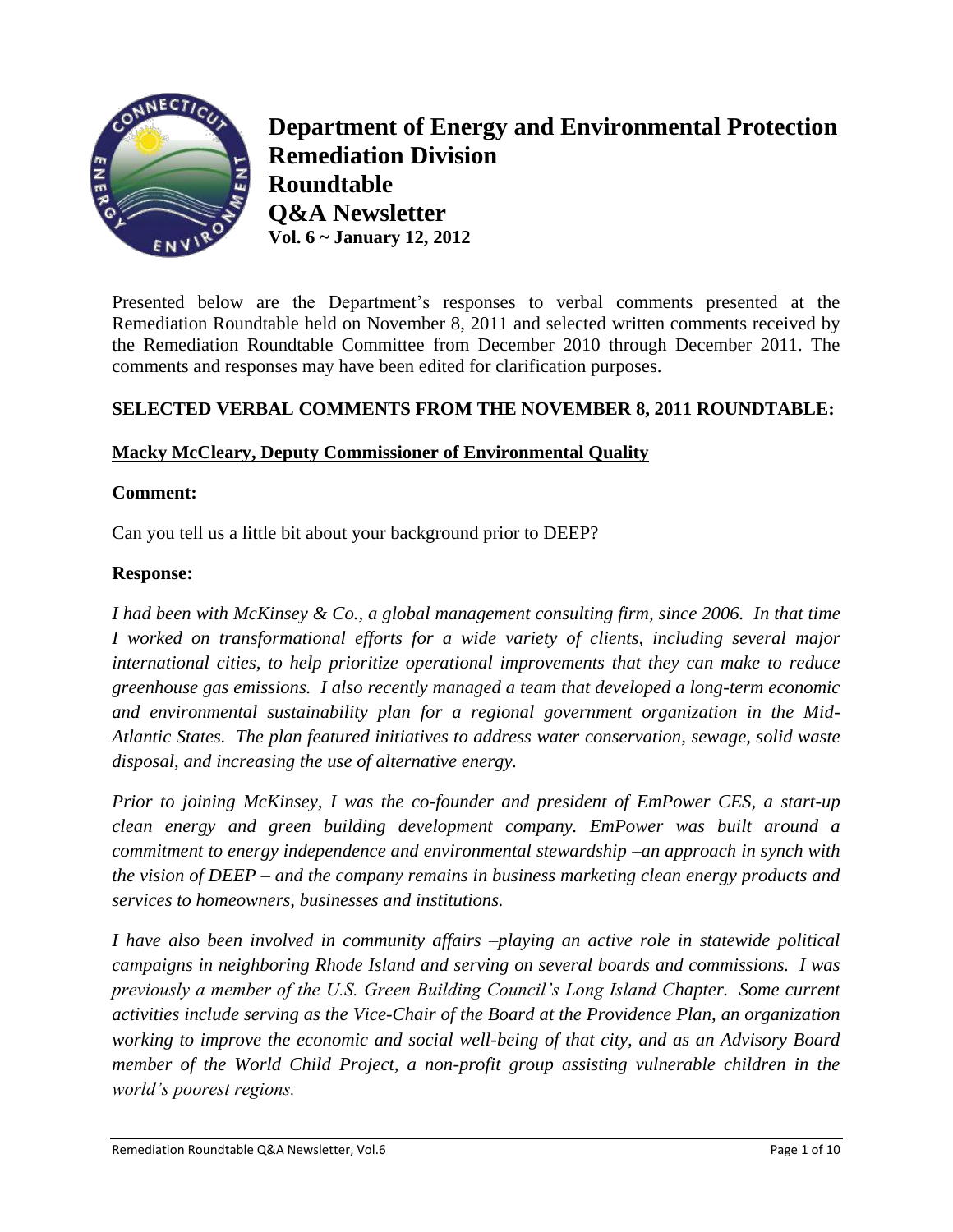

**Department of Energy and Environmental Protection Remediation Division Roundtable Q&A Newsletter Vol. 6 ~ January 12, 2012**

Presented below are the Department's responses to verbal comments presented at the Remediation Roundtable held on November 8, 2011 and selected written comments received by the Remediation Roundtable Committee from December 2010 through December 2011. The comments and responses may have been edited for clarification purposes.

## **SELECTED VERBAL COMMENTS FROM THE NOVEMBER 8, 2011 ROUNDTABLE:**

## **Macky McCleary, Deputy Commissioner of Environmental Quality**

#### **Comment:**

Can you tell us a little bit about your background prior to DEEP?

#### **Response:**

*I had been with McKinsey & Co., a global management consulting firm, since 2006. In that time I worked on transformational efforts for a wide variety of clients, including several major international cities, to help prioritize operational improvements that they can make to reduce greenhouse gas emissions. I also recently managed a team that developed a long-term economic and environmental sustainability plan for a regional government organization in the Mid-Atlantic States. The plan featured initiatives to address water conservation, sewage, solid waste disposal, and increasing the use of alternative energy.*

*Prior to joining McKinsey, I was the co-founder and president of EmPower CES, a start-up clean energy and green building development company. EmPower was built around a commitment to energy independence and environmental stewardship –an approach in synch with the vision of DEEP – and the company remains in business marketing clean energy products and services to homeowners, businesses and institutions.*

*I have also been involved in community affairs –playing an active role in statewide political campaigns in neighboring Rhode Island and serving on several boards and commissions. I was previously a member of the U.S. Green Building Council"s Long Island Chapter. Some current activities include serving as the Vice-Chair of the Board at the Providence Plan, an organization working to improve the economic and social well-being of that city, and as an Advisory Board member of the World Child Project, a non-profit group assisting vulnerable children in the world"s poorest regions.*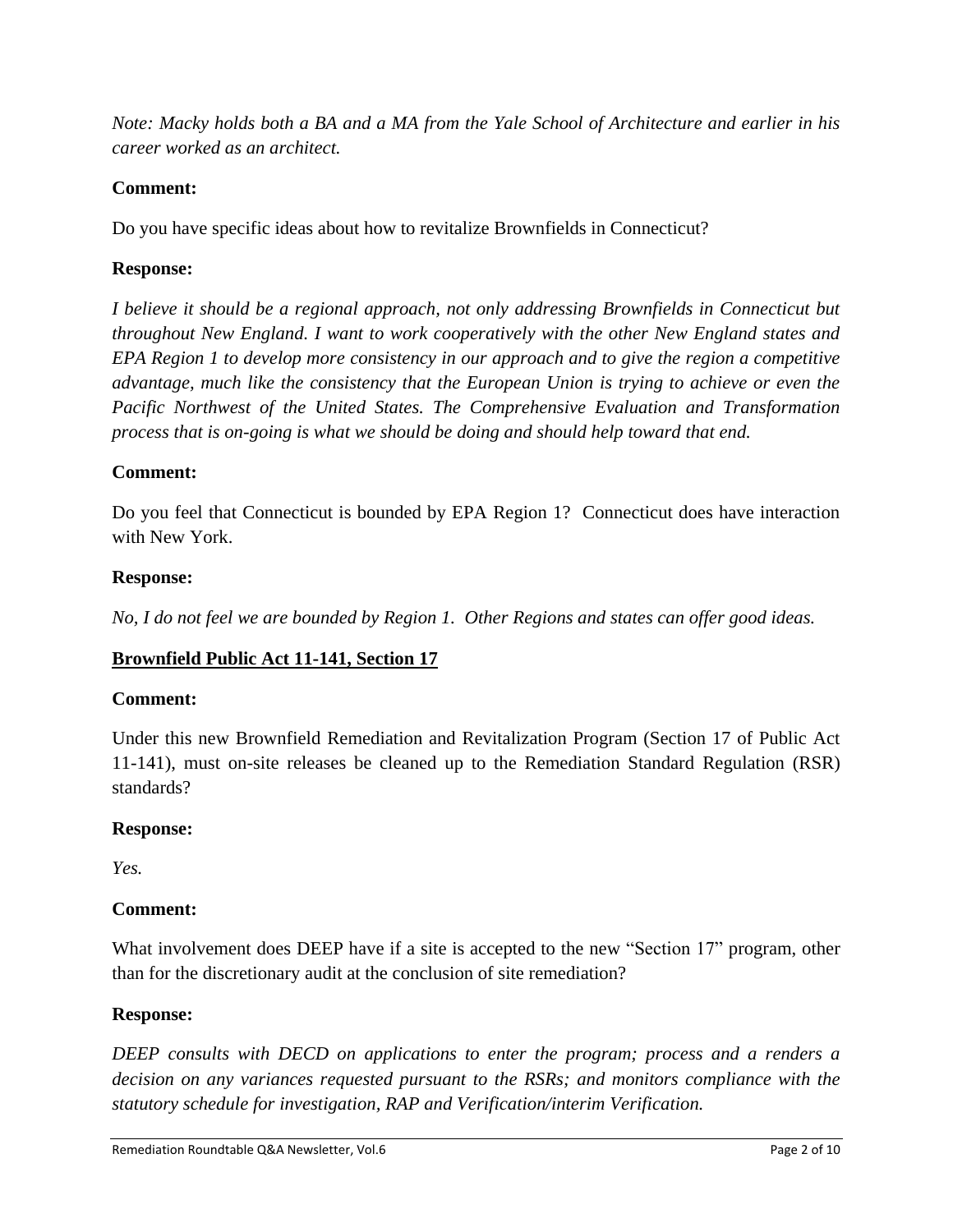*Note: Macky holds both a BA and a MA from the Yale School of Architecture and earlier in his career worked as an architect.*

# **Comment:**

Do you have specific ideas about how to revitalize Brownfields in Connecticut?

# **Response:**

*I believe it should be a regional approach, not only addressing Brownfields in Connecticut but throughout New England. I want to work cooperatively with the other New England states and EPA Region 1 to develop more consistency in our approach and to give the region a competitive advantage, much like the consistency that the European Union is trying to achieve or even the Pacific Northwest of the United States. The Comprehensive Evaluation and Transformation process that is on-going is what we should be doing and should help toward that end.*

# **Comment:**

Do you feel that Connecticut is bounded by EPA Region 1? Connecticut does have interaction with New York.

## **Response:**

*No, I do not feel we are bounded by Region 1. Other Regions and states can offer good ideas.* 

# **Brownfield Public Act 11-141, Section 17**

## **Comment:**

Under this new Brownfield Remediation and Revitalization Program (Section 17 of Public Act 11-141), must on-site releases be cleaned up to the Remediation Standard Regulation (RSR) standards?

## **Response:**

*Yes.* 

# **Comment:**

What involvement does DEEP have if a site is accepted to the new "Section 17" program, other than for the discretionary audit at the conclusion of site remediation?

## **Response:**

*DEEP consults with DECD on applications to enter the program; process and a renders a decision on any variances requested pursuant to the RSRs; and monitors compliance with the statutory schedule for investigation, RAP and Verification/interim Verification.*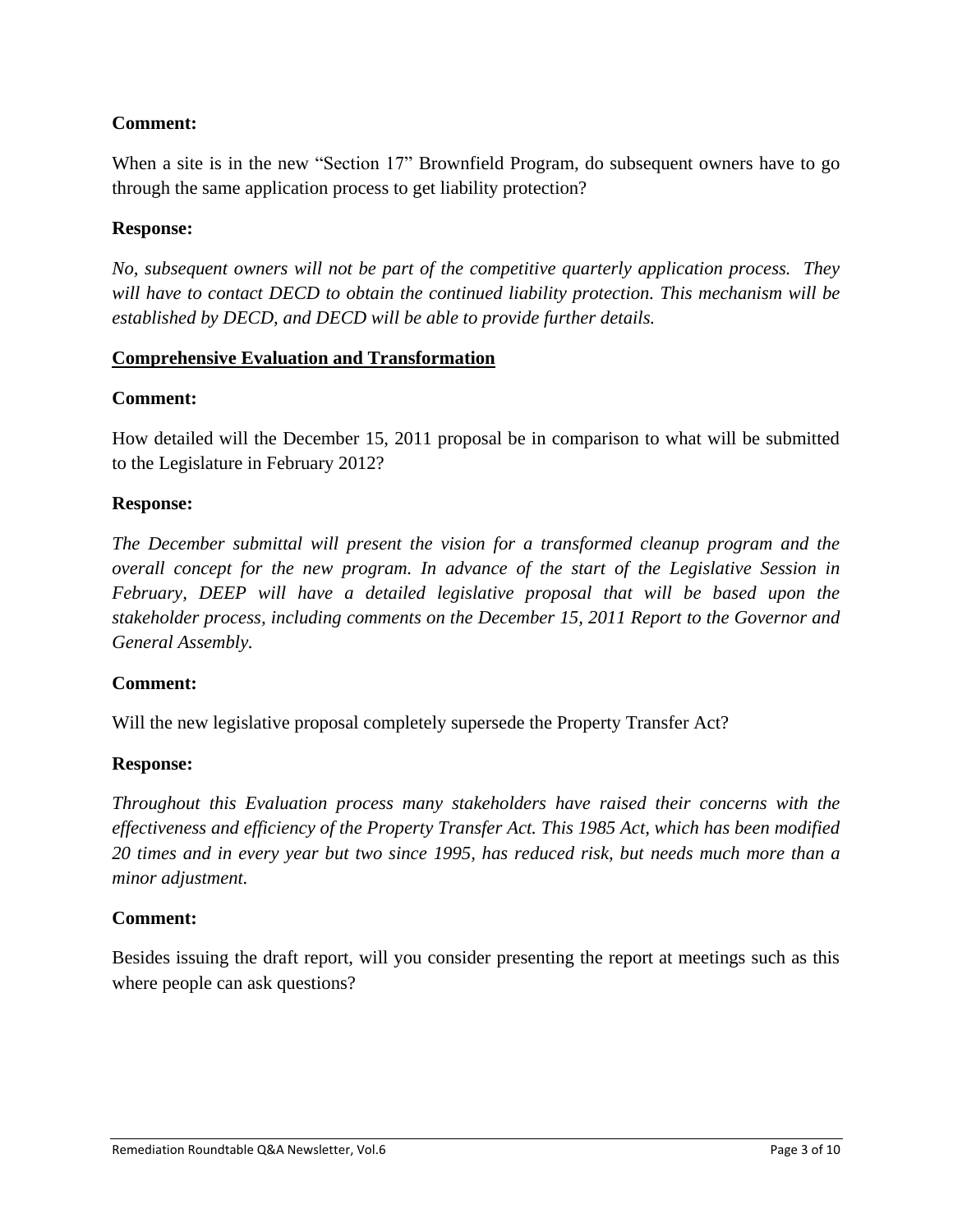## **Comment:**

When a site is in the new "Section 17" Brownfield Program, do subsequent owners have to go through the same application process to get liability protection?

### **Response:**

*No, subsequent owners will not be part of the competitive quarterly application process. They will have to contact DECD to obtain the continued liability protection. This mechanism will be established by DECD, and DECD will be able to provide further details.*

### **Comprehensive Evaluation and Transformation**

### **Comment:**

How detailed will the December 15, 2011 proposal be in comparison to what will be submitted to the Legislature in February 2012?

### **Response:**

*The December submittal will present the vision for a transformed cleanup program and the overall concept for the new program. In advance of the start of the Legislative Session in February, DEEP will have a detailed legislative proposal that will be based upon the stakeholder process, including comments on the December 15, 2011 Report to the Governor and General Assembly.* 

#### **Comment:**

Will the new legislative proposal completely supersede the Property Transfer Act?

#### **Response:**

*Throughout this Evaluation process many stakeholders have raised their concerns with the effectiveness and efficiency of the Property Transfer Act. This 1985 Act, which has been modified 20 times and in every year but two since 1995, has reduced risk, but needs much more than a minor adjustment.* 

#### **Comment:**

Besides issuing the draft report, will you consider presenting the report at meetings such as this where people can ask questions?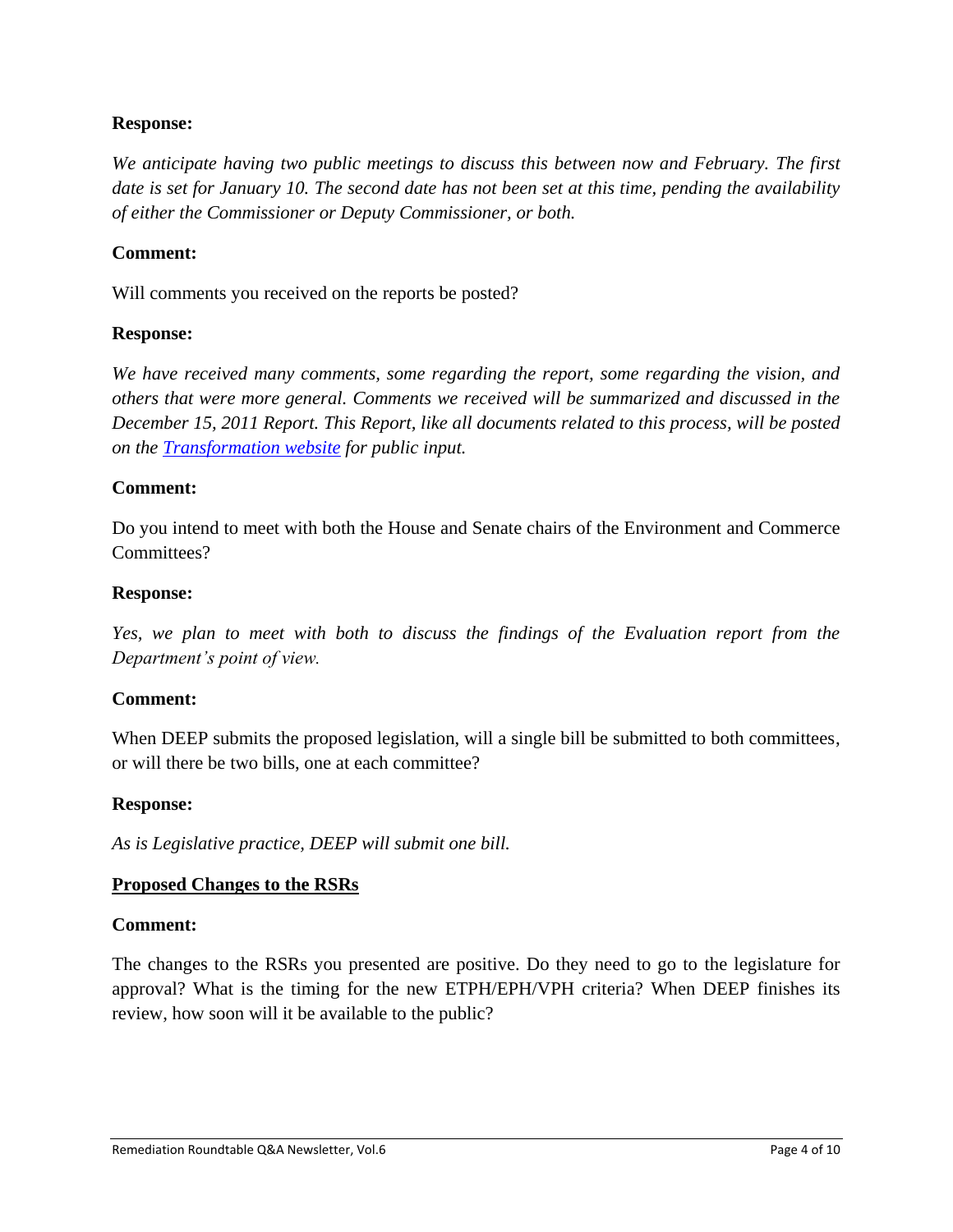### **Response:**

*We anticipate having two public meetings to discuss this between now and February. The first date is set for January 10. The second date has not been set at this time, pending the availability of either the Commissioner or Deputy Commissioner, or both.* 

#### **Comment:**

Will comments you received on the reports be posted?

#### **Response:**

*We have received many comments, some regarding the report, some regarding the vision, and others that were more general. Comments we received will be summarized and discussed in the December 15, 2011 Report. This Report, like all documents related to this process, will be posted on the [Transformation website](http://www.ct.gov/dep/cwp/view.asp?a=2715&q=481178&depNav_GID=1626) for public input.* 

#### **Comment:**

Do you intend to meet with both the House and Senate chairs of the Environment and Commerce Committees?

#### **Response:**

*Yes, we plan to meet with both to discuss the findings of the Evaluation report from the Department"s point of view.* 

#### **Comment:**

When DEEP submits the proposed legislation, will a single bill be submitted to both committees, or will there be two bills, one at each committee?

#### **Response:**

*As is Legislative practice, DEEP will submit one bill.* 

#### **Proposed Changes to the RSRs**

#### **Comment:**

The changes to the RSRs you presented are positive. Do they need to go to the legislature for approval? What is the timing for the new ETPH/EPH/VPH criteria? When DEEP finishes its review, how soon will it be available to the public?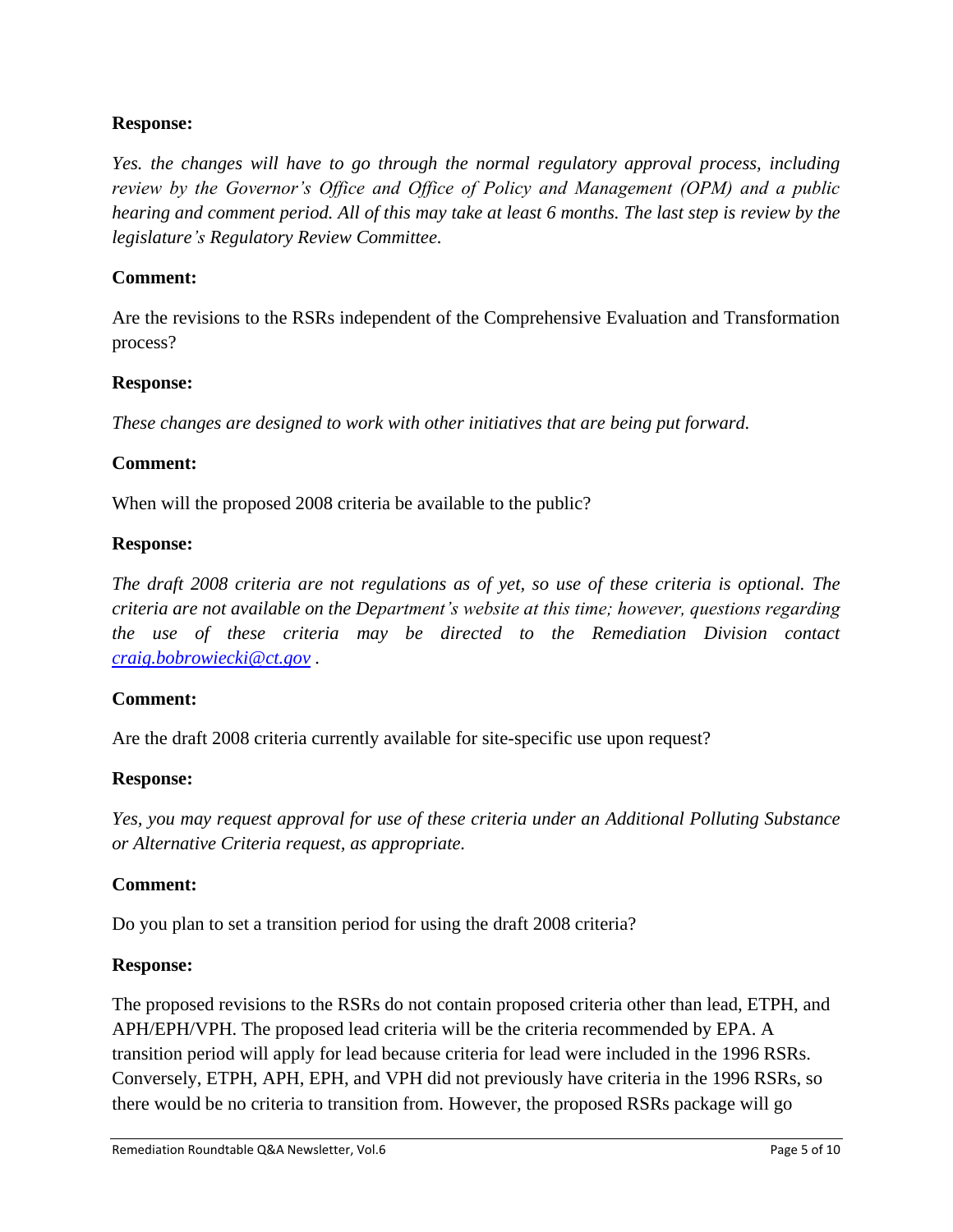### **Response:**

*Yes. the changes will have to go through the normal regulatory approval process, including review by the Governor"s Office and Office of Policy and Management (OPM) and a public hearing and comment period. All of this may take at least 6 months. The last step is review by the legislature"s Regulatory Review Committee.*

#### **Comment:**

Are the revisions to the RSRs independent of the Comprehensive Evaluation and Transformation process?

#### **Response:**

*These changes are designed to work with other initiatives that are being put forward.*

#### **Comment:**

When will the proposed 2008 criteria be available to the public?

#### **Response:**

*The draft 2008 criteria are not regulations as of yet, so use of these criteria is optional. The criteria are not available on the Department"s website at this time; however, questions regarding the use of these criteria may be directed to the Remediation Division contact [craig.bobrowiecki@ct.gov](mailto:craig.bobrowiecki@ct.gov) .* 

#### **Comment:**

Are the draft 2008 criteria currently available for site-specific use upon request?

#### **Response:**

*Yes, you may request approval for use of these criteria under an Additional Polluting Substance or Alternative Criteria request, as appropriate.* 

#### **Comment:**

Do you plan to set a transition period for using the draft 2008 criteria?

#### **Response:**

The proposed revisions to the RSRs do not contain proposed criteria other than lead, ETPH, and APH/EPH/VPH. The proposed lead criteria will be the criteria recommended by EPA. A transition period will apply for lead because criteria for lead were included in the 1996 RSRs. Conversely, ETPH, APH, EPH, and VPH did not previously have criteria in the 1996 RSRs, so there would be no criteria to transition from. However, the proposed RSRs package will go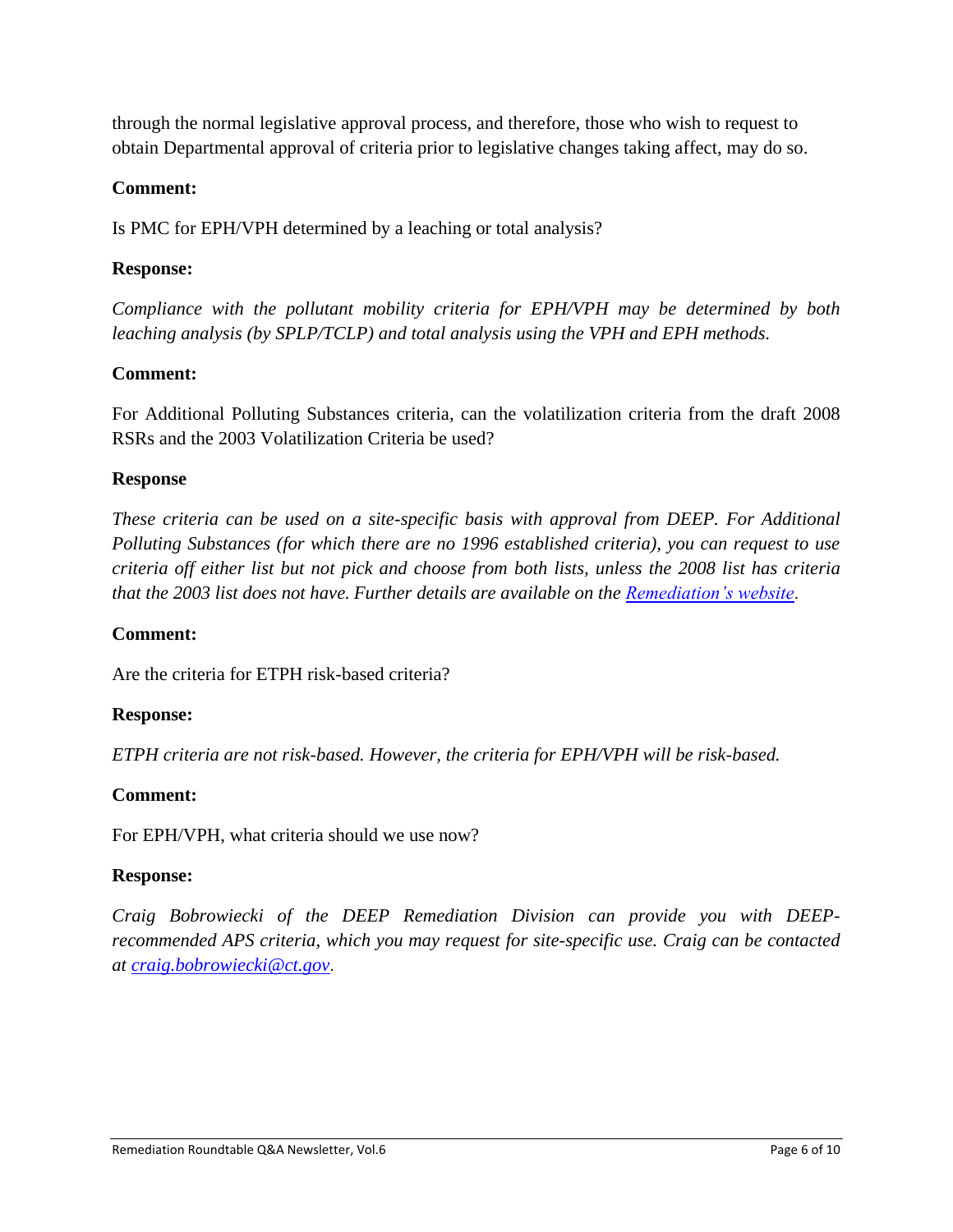through the normal legislative approval process, and therefore, those who wish to request to obtain Departmental approval of criteria prior to legislative changes taking affect, may do so.

## **Comment:**

Is PMC for EPH/VPH determined by a leaching or total analysis?

## **Response:**

*Compliance with the pollutant mobility criteria for EPH/VPH may be determined by both leaching analysis (by SPLP/TCLP) and total analysis using the VPH and EPH methods.*

# **Comment:**

For Additional Polluting Substances criteria, can the volatilization criteria from the draft 2008 RSRs and the 2003 Volatilization Criteria be used?

## **Response**

*These criteria can be used on a site-specific basis with approval from DEEP. For Additional Polluting Substances (for which there are no 1996 established criteria), you can request to use criteria off either list but not pick and choose from both lists, unless the 2008 list has criteria that the 2003 list does not have. Further details are available on the [Remediation"s website](http://www.ct.gov/dep/cwp/view.asp?a=2715&q=325012&depNav_GID=1626)*.

## **Comment:**

Are the criteria for ETPH risk-based criteria?

## **Response:**

*ETPH criteria are not risk-based. However, the criteria for EPH/VPH will be risk-based.* 

## **Comment:**

For EPH/VPH, what criteria should we use now?

## **Response:**

*Craig Bobrowiecki of the DEEP Remediation Division can provide you with DEEPrecommended APS criteria, which you may request for site-specific use. Craig can be contacted at [craig.bobrowiecki@ct.gov](mailto:craig.bobrowiecki@ct.gov)*.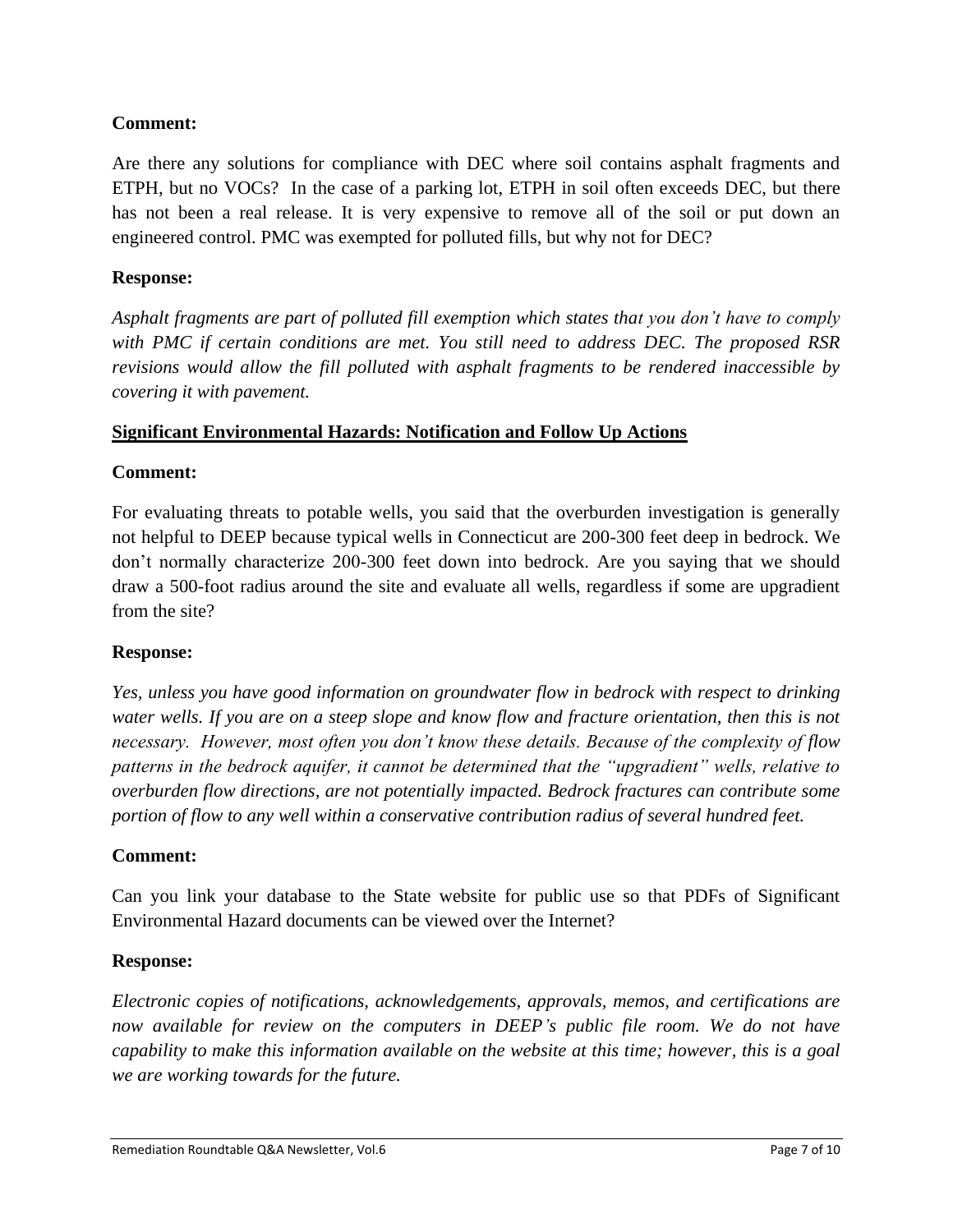## **Comment:**

Are there any solutions for compliance with DEC where soil contains asphalt fragments and ETPH, but no VOCs? In the case of a parking lot, ETPH in soil often exceeds DEC, but there has not been a real release. It is very expensive to remove all of the soil or put down an engineered control. PMC was exempted for polluted fills, but why not for DEC?

### **Response:**

*Asphalt fragments are part of polluted fill exemption which states that you don"t have to comply with PMC if certain conditions are met. You still need to address DEC. The proposed RSR revisions would allow the fill polluted with asphalt fragments to be rendered inaccessible by covering it with pavement.*

### **Significant Environmental Hazards: Notification and Follow Up Actions**

## **Comment:**

For evaluating threats to potable wells, you said that the overburden investigation is generally not helpful to DEEP because typical wells in Connecticut are 200-300 feet deep in bedrock. We don't normally characterize 200-300 feet down into bedrock. Are you saying that we should draw a 500-foot radius around the site and evaluate all wells, regardless if some are upgradient from the site?

#### **Response:**

*Yes, unless you have good information on groundwater flow in bedrock with respect to drinking water wells. If you are on a steep slope and know flow and fracture orientation, then this is not necessary. However, most often you don"t know these details. Because of the complexity of flow patterns in the bedrock aquifer, it cannot be determined that the "upgradient" wells, relative to overburden flow directions, are not potentially impacted. Bedrock fractures can contribute some portion of flow to any well within a conservative contribution radius of several hundred feet.*

## **Comment:**

Can you link your database to the State website for public use so that PDFs of Significant Environmental Hazard documents can be viewed over the Internet?

#### **Response:**

*Electronic copies of notifications, acknowledgements, approvals, memos, and certifications are*  now available for review on the computers in DEEP's public file room. We do not have *capability to make this information available on the website at this time; however, this is a goal we are working towards for the future.*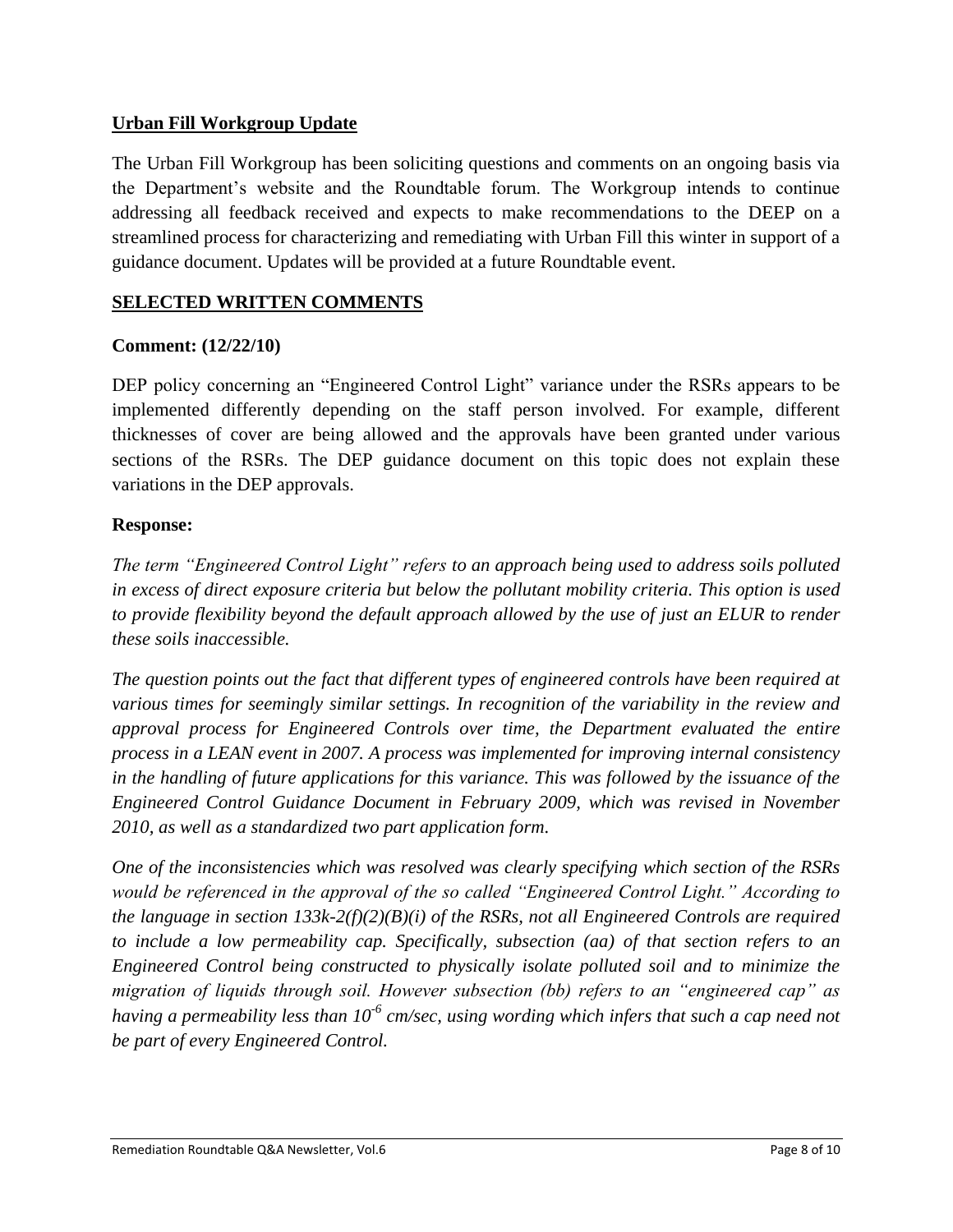## **Urban Fill Workgroup Update**

The Urban Fill Workgroup has been soliciting questions and comments on an ongoing basis via the Department's website and the Roundtable forum. The Workgroup intends to continue addressing all feedback received and expects to make recommendations to the DEEP on a streamlined process for characterizing and remediating with Urban Fill this winter in support of a guidance document. Updates will be provided at a future Roundtable event.

# **SELECTED WRITTEN COMMENTS**

## **Comment: (12/22/10)**

DEP policy concerning an "Engineered Control Light" variance under the RSRs appears to be implemented differently depending on the staff person involved. For example, different thicknesses of cover are being allowed and the approvals have been granted under various sections of the RSRs. The DEP guidance document on this topic does not explain these variations in the DEP approvals.

## **Response:**

*The term "Engineered Control Light" refers to an approach being used to address soils polluted in excess of direct exposure criteria but below the pollutant mobility criteria. This option is used to provide flexibility beyond the default approach allowed by the use of just an ELUR to render these soils inaccessible.* 

*The question points out the fact that different types of engineered controls have been required at various times for seemingly similar settings. In recognition of the variability in the review and approval process for Engineered Controls over time, the Department evaluated the entire process in a LEAN event in 2007. A process was implemented for improving internal consistency in the handling of future applications for this variance. This was followed by the issuance of the Engineered Control Guidance Document in February 2009, which was revised in November 2010, as well as a standardized two part application form.* 

*One of the inconsistencies which was resolved was clearly specifying which section of the RSRs would be referenced in the approval of the so called "Engineered Control Light." According to the language in section 133k-2(f)(2)(B)(i) of the RSRs, not all Engineered Controls are required to include a low permeability cap. Specifically, subsection (aa) of that section refers to an Engineered Control being constructed to physically isolate polluted soil and to minimize the migration of liquids through soil. However subsection (bb) refers to an "engineered cap" as having a permeability less than 10-6 cm/sec, using wording which infers that such a cap need not be part of every Engineered Control.*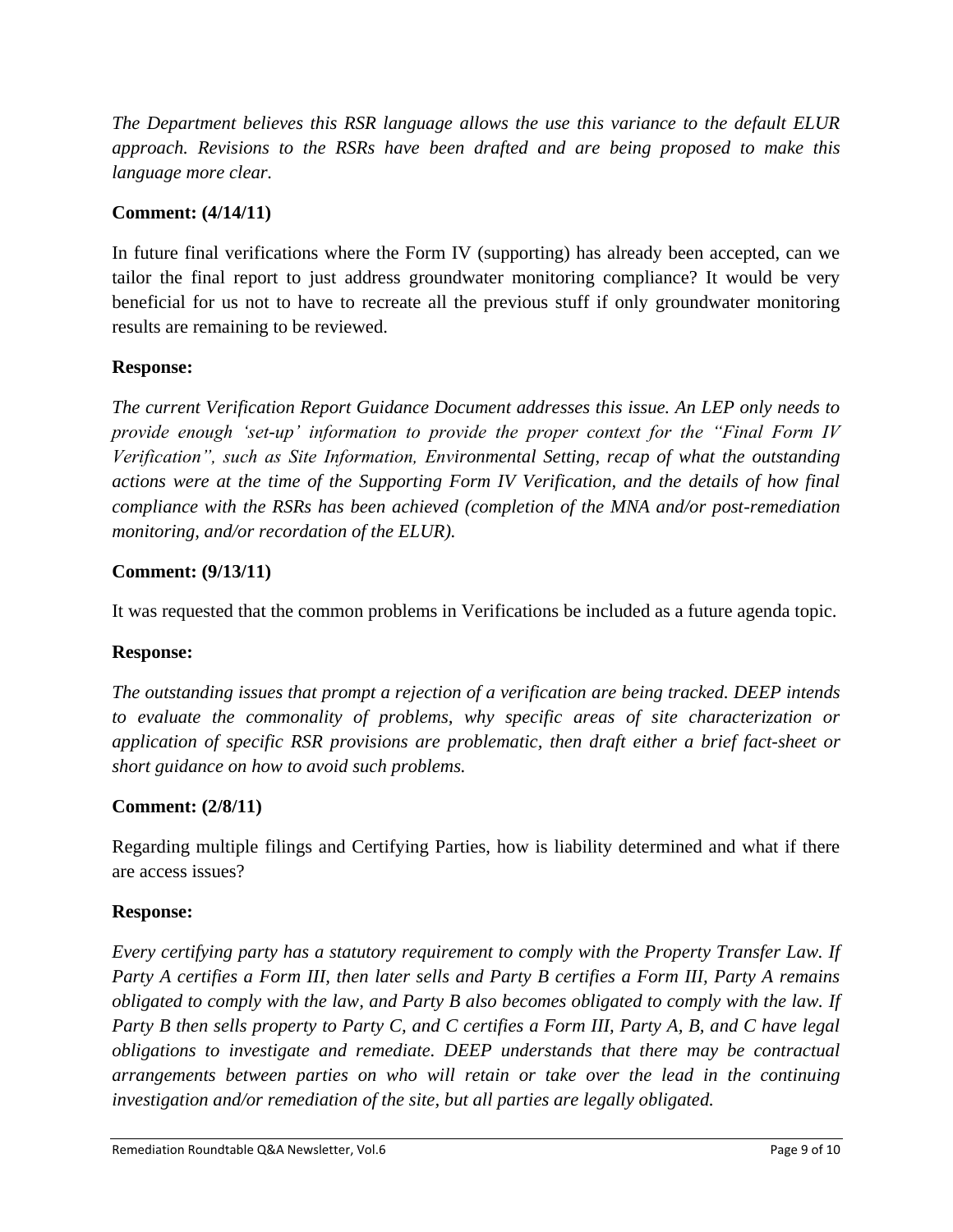*The Department believes this RSR language allows the use this variance to the default ELUR approach. Revisions to the RSRs have been drafted and are being proposed to make this language more clear.*

# **Comment: (4/14/11)**

In future final verifications where the Form IV (supporting) has already been accepted, can we tailor the final report to just address groundwater monitoring compliance? It would be very beneficial for us not to have to recreate all the previous stuff if only groundwater monitoring results are remaining to be reviewed.

## **Response:**

*The current Verification Report Guidance Document addresses this issue. An LEP only needs to provide enough "set-up" information to provide the proper context for the "Final Form IV Verification", such as Site Information, Environmental Setting, recap of what the outstanding actions were at the time of the Supporting Form IV Verification, and the details of how final compliance with the RSRs has been achieved (completion of the MNA and/or post-remediation monitoring, and/or recordation of the ELUR).*

## **Comment: (9/13/11)**

It was requested that the common problems in Verifications be included as a future agenda topic.

## **Response:**

*The outstanding issues that prompt a rejection of a verification are being tracked. DEEP intends to evaluate the commonality of problems, why specific areas of site characterization or application of specific RSR provisions are problematic, then draft either a brief fact-sheet or short guidance on how to avoid such problems.*

## **Comment: (2/8/11)**

Regarding multiple filings and Certifying Parties, how is liability determined and what if there are access issues?

## **Response:**

*Every certifying party has a statutory requirement to comply with the Property Transfer Law. If Party A certifies a Form III, then later sells and Party B certifies a Form III, Party A remains obligated to comply with the law, and Party B also becomes obligated to comply with the law. If Party B then sells property to Party C, and C certifies a Form III, Party A, B, and C have legal obligations to investigate and remediate. DEEP understands that there may be contractual arrangements between parties on who will retain or take over the lead in the continuing investigation and/or remediation of the site, but all parties are legally obligated.*